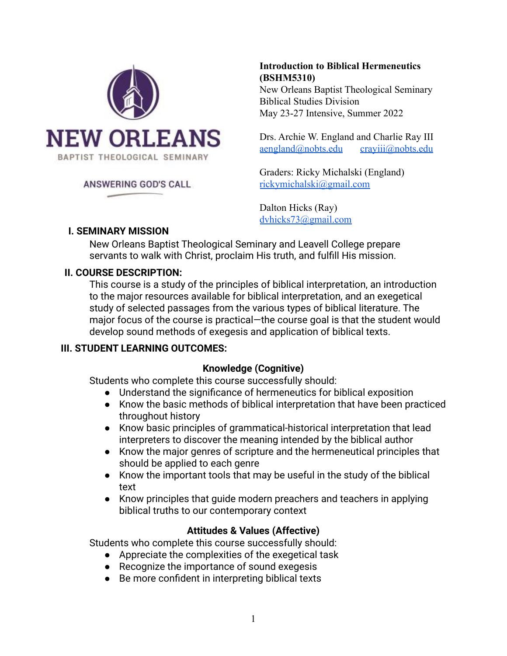

#### ANSWERING GOD'S CALL

# **Introduction to Biblical Hermeneutics (BSHM5310)**

New Orleans Baptist Theological Seminary Biblical Studies Division May 23-27 Intensive, Summer 2022

Drs. Archie W. England and Charlie Ray III [aengland@nobts.edu](mailto:aengland@nobts.edu) [crayiii@nobts.edu](mailto:crayiii@nobts.edu)

Graders: Ricky Michalski (England) [rickymichalski@gmail.com](mailto:rickymichalski@gmail.com)

Dalton Hicks (Ray) [dvhicks73@gmail.com](mailto:dvhicks73@gmail.com)

#### **I. SEMINARY MISSION**

New Orleans Baptist Theological Seminary and Leavell College prepare servants to walk with Christ, proclaim His truth, and fulfill His mission.

#### **II. COURSE DESCRIPTION:**

This course is a study of the principles of biblical interpretation, an introduction to the major resources available for biblical interpretation, and an exegetical study of selected passages from the various types of biblical literature. The major focus of the course is practical—the course goal is that the student would develop sound methods of exegesis and application of biblical texts.

## **III. STUDENT LEARNING OUTCOMES:**

## **Knowledge (Cognitive)**

Students who complete this course successfully should:

- Understand the significance of hermeneutics for biblical exposition
- Know the basic methods of biblical interpretation that have been practiced throughout history
- Know basic principles of grammatical-historical interpretation that lead interpreters to discover the meaning intended by the biblical author
- Know the major genres of scripture and the hermeneutical principles that should be applied to each genre
- Know the important tools that may be useful in the study of the biblical text
- Know principles that guide modern preachers and teachers in applying biblical truths to our contemporary context

## **Attitudes & Values (Affective)**

Students who complete this course successfully should:

- Appreciate the complexities of the exegetical task
- Recognize the importance of sound exegesis
- Be more confident in interpreting biblical texts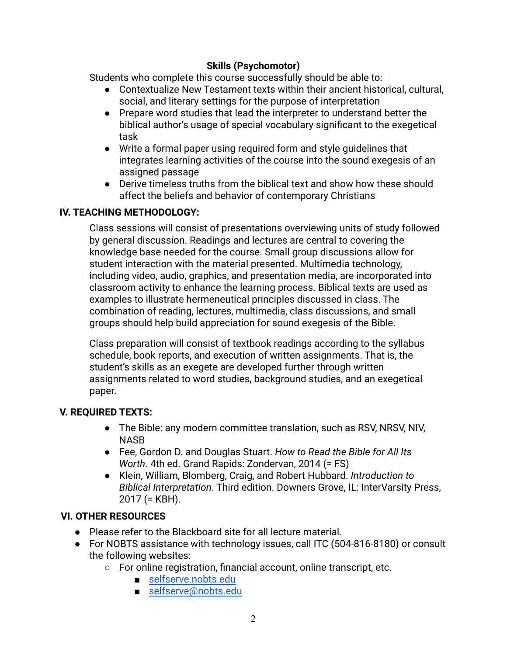## **Skills (Psychomotor)**

Students who complete this course successfully should be able to:

- Contextualize New Testament texts within their ancient historical, cultural, social, and literary settings for the purpose of interpretation
- Prepare word studies that lead the interpreter to understand better the biblical author's usage of special vocabulary significant to the exegetical task
- Write a formal paper using required form and style guidelines that integrates learning activities of the course into the sound exegesis of an assigned passage
- Derive timeless truths from the biblical text and show how these should affect the beliefs and behavior of contemporary Christians

## **IV. TEACHING METHODOLOGY:**

Class sessions will consist of presentations overviewing units of study followed by general discussion. Readings and lectures are central to covering the knowledge base needed for the course. Small group discussions allow for student interaction with the material presented. Multimedia technology, including video, audio, graphics, and presentation media, are incorporated into classroom activity to enhance the learning process. Biblical texts are used as examples to illustrate hermeneutical principles discussed in class. The combination of reading, lectures, multimedia, class discussions, and small groups should help build appreciation for sound exegesis of the Bible.

Class preparation will consist of textbook readings according to the syllabus schedule, book reports, and execution of written assignments. That is, the student's skills as an exegete are developed further through written assignments related to word studies, background studies, and an exegetical paper.

## **V. REQUIRED TEXTS:**

- The Bible: any modern committee translation, such as RSV, NRSV, NIV, **NASB**
- Fee, Gordon D. and Douglas Stuart. *How to Read the Bible for All Its Worth*. 4th ed. Grand Rapids: Zondervan, 2014 (= FS)
- Klein, William, Blomberg, Craig, and Robert Hubbard. *Introduction to Biblical Interpretation*. Third edition. Downers Grove, IL: InterVarsity Press, 2017 (= KBH).

## **VI. OTHER RESOURCES**

- Please refer to the Blackboard site for all lecture material.
- For NOBTS assistance with technology issues, call ITC (504-816-8180) or consult the following websites:
	- For online registration, financial account, online transcript, etc.
		- [selfserve.nobts.edu](https://selfserve.nobts.edu/)
		- [selfserve@nobts.edu](mailto:selfserve@nobts.edu)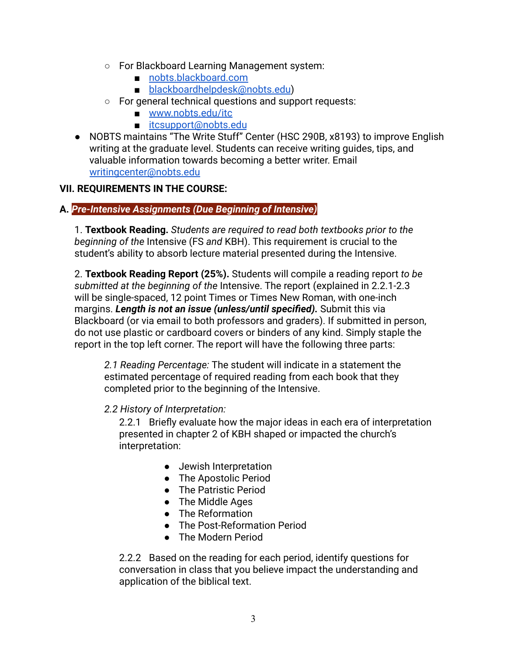- For Blackboard Learning Management system:
	- [nobts.blackboard.com](https://nobts.blackboard.com/)
	- [blackboardhelpdesk@nobts.edu](mailto:blackboardhelpdesk@nobts.edu))
- For general technical questions and support requests:
	- [www.nobts.edu/itc](http://www.nobts.edu/itc)
	- [itcsupport@nobts.edu](mailto:itcsupport@nobts.edu)
- NOBTS maintains "The Write Stuff" Center (HSC 290B, x8193) to improve English writing at the graduate level. Students can receive writing guides, tips, and valuable information towards becoming a better writer. Email [writingcenter@nobts.edu](mailto:writingcenter@nobts.edu)

## **VII. REQUIREMENTS IN THE COURSE:**

## **A.** *Pre-Intensive Assignments (Due Beginning of Intensive)*

1. **Textbook Reading.** *Students are required to read both textbooks prior to the beginning of the* Intensive (FS *and* KBH). This requirement is crucial to the student's ability to absorb lecture material presented during the Intensive.

2. **Textbook Reading Report (25%).** Students will compile a reading report *to be submitted at the beginning of the* Intensive. The report (explained in 2.2.1-2.3 will be single-spaced, 12 point Times or Times New Roman, with one-inch margins. *Length is not an issue (unless/until specified).* Submit this via Blackboard (or via email to both professors and graders). If submitted in person, do not use plastic or cardboard covers or binders of any kind. Simply staple the report in the top left corner. The report will have the following three parts:

*2.1 Reading Percentage:* The student will indicate in a statement the estimated percentage of required reading from each book that they completed prior to the beginning of the Intensive.

## *2.2 History of Interpretation:*

2.2.1 Briefly evaluate how the major ideas in each era of interpretation presented in chapter 2 of KBH shaped or impacted the church's interpretation:

- Jewish Interpretation
- The Apostolic Period
- The Patristic Period
- The Middle Ages
- The Reformation
- The Post-Reformation Period
- The Modern Period

2.2.2 Based on the reading for each period, identify questions for conversation in class that you believe impact the understanding and application of the biblical text.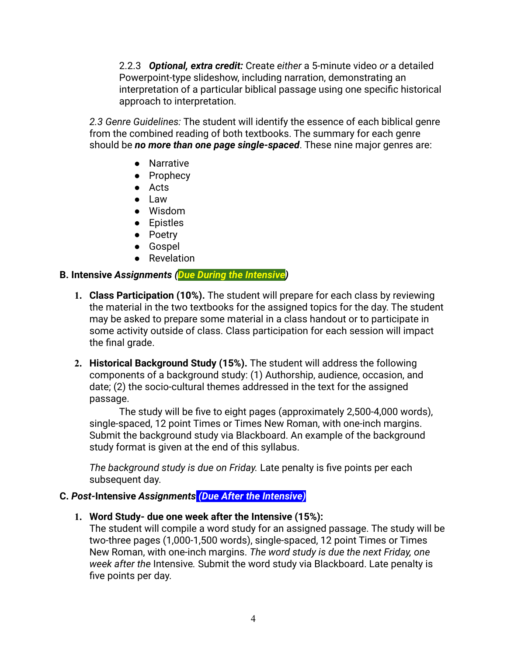2.2.3 *Optional, extra credit:* Create *either* a 5-minute video *or* a detailed Powerpoint-type slideshow, including narration, demonstrating an interpretation of a particular biblical passage using one specific historical approach to interpretation.

*2.3 Genre Guidelines:* The student will identify the essence of each biblical genre from the combined reading of both textbooks. The summary for each genre should be *no more than one page single-spaced*. These nine major genres are:

- Narrative
- Prophecy
- Acts
- Law
- Wisdom
- Epistles
- Poetry
- Gospel
- Revelation

#### **B. Intensive** *Assignments (Due During the Intensive)*

- **1. Class Participation (10%).** The student will prepare for each class by reviewing the material in the two textbooks for the assigned topics for the day. The student may be asked to prepare some material in a class handout or to participate in some activity outside of class. Class participation for each session will impact the final grade.
- **2. Historical Background Study (15%).** The student will address the following components of a background study: (1) Authorship, audience, occasion, and date; (2) the socio-cultural themes addressed in the text for the assigned passage.

The study will be five to eight pages (approximately 2,500-4,000 words), single-spaced, 12 point Times or Times New Roman, with one-inch margins. Submit the background study via Blackboard. An example of the background study format is given at the end of this syllabus.

*The background study is due on Friday.* Late penalty is five points per each subsequent day.

## **C.** *Post-***Intensive** *Assignments (Due After the Intensive)*

**1. Word Study- due one week after the Intensive (15%):**

The student will compile a word study for an assigned passage. The study will be two-three pages (1,000-1,500 words), single-spaced, 12 point Times or Times New Roman, with one-inch margins. *The word study is due the next Friday, one week after the* Intensive*.* Submit the word study via Blackboard. Late penalty is five points per day.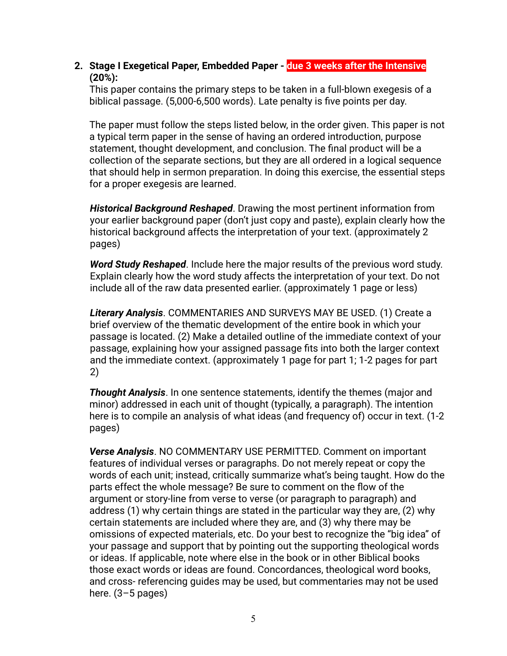**2. Stage I Exegetical Paper, Embedded Paper - due 3 weeks after the Intensive (20%):**

This paper contains the primary steps to be taken in a full-blown exegesis of a biblical passage. (5,000-6,500 words). Late penalty is five points per day.

The paper must follow the steps listed below, in the order given. This paper is not a typical term paper in the sense of having an ordered introduction, purpose statement, thought development, and conclusion. The final product will be a collection of the separate sections, but they are all ordered in a logical sequence that should help in sermon preparation. In doing this exercise, the essential steps for a proper exegesis are learned.

*Historical Background Reshaped*. Drawing the most pertinent information from your earlier background paper (don't just copy and paste), explain clearly how the historical background affects the interpretation of your text. (approximately 2 pages)

*Word Study Reshaped*. Include here the major results of the previous word study. Explain clearly how the word study affects the interpretation of your text. Do not include all of the raw data presented earlier. (approximately 1 page or less)

*Literary Analysis*. COMMENTARIES AND SURVEYS MAY BE USED. (1) Create a brief overview of the thematic development of the entire book in which your passage is located. (2) Make a detailed outline of the immediate context of your passage, explaining how your assigned passage fits into both the larger context and the immediate context. (approximately 1 page for part 1; 1-2 pages for part 2)

*Thought Analysis*. In one sentence statements, identify the themes (major and minor) addressed in each unit of thought (typically, a paragraph). The intention here is to compile an analysis of what ideas (and frequency of) occur in text. (1-2 pages)

*Verse Analysis*. NO COMMENTARY USE PERMITTED. Comment on important features of individual verses or paragraphs. Do not merely repeat or copy the words of each unit; instead, critically summarize what's being taught. How do the parts effect the whole message? Be sure to comment on the flow of the argument or story-line from verse to verse (or paragraph to paragraph) and address (1) why certain things are stated in the particular way they are, (2) why certain statements are included where they are, and (3) why there may be omissions of expected materials, etc. Do your best to recognize the "big idea" of your passage and support that by pointing out the supporting theological words or ideas. If applicable, note where else in the book or in other Biblical books those exact words or ideas are found. Concordances, theological word books, and cross- referencing guides may be used, but commentaries may not be used here. (3-5 pages)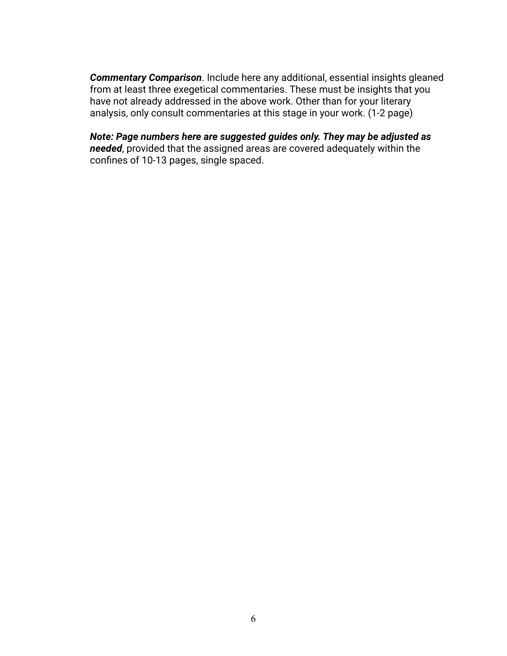*Commentary Comparison*. Include here any additional, essential insights gleaned from at least three exegetical commentaries. These must be insights that you have not already addressed in the above work. Other than for your literary analysis, only consult commentaries at this stage in your work. (1-2 page)

*Note: Page numbers here are suggested guides only. They may be adjusted as needed*, provided that the assigned areas are covered adequately within the confines of 10-13 pages, single spaced.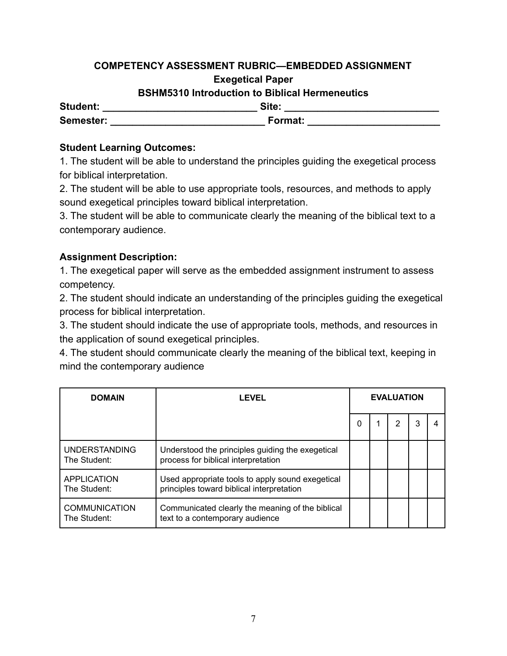## **COMPETENCY ASSESSMENT RUBRIC—EMBEDDED ASSIGNMENT Exegetical Paper**

# **BSHM5310 Introduction to Biblical Hermeneutics**

| <b>Student:</b> | Site:   |  |
|-----------------|---------|--|
| Semester:       | Format: |  |

## **Student Learning Outcomes:**

1. The student will be able to understand the principles guiding the exegetical process for biblical interpretation.

2. The student will be able to use appropriate tools, resources, and methods to apply sound exegetical principles toward biblical interpretation.

3. The student will be able to communicate clearly the meaning of the biblical text to a contemporary audience.

## **Assignment Description:**

1. The exegetical paper will serve as the embedded assignment instrument to assess competency.

2. The student should indicate an understanding of the principles guiding the exegetical process for biblical interpretation.

3. The student should indicate the use of appropriate tools, methods, and resources in the application of sound exegetical principles.

4. The student should communicate clearly the meaning of the biblical text, keeping in mind the contemporary audience

| <b>DOMAIN</b>                        | LEVEL                                                                                         | <b>EVALUATION</b> |  |   |   |  |
|--------------------------------------|-----------------------------------------------------------------------------------------------|-------------------|--|---|---|--|
|                                      |                                                                                               | 0                 |  | 2 | 3 |  |
| <b>UNDERSTANDING</b><br>The Student: | Understood the principles guiding the exegetical<br>process for biblical interpretation       |                   |  |   |   |  |
| APPLICATION<br>The Student:          | Used appropriate tools to apply sound exegetical<br>principles toward biblical interpretation |                   |  |   |   |  |
| <b>COMMUNICATION</b><br>The Student: | Communicated clearly the meaning of the biblical<br>text to a contemporary audience           |                   |  |   |   |  |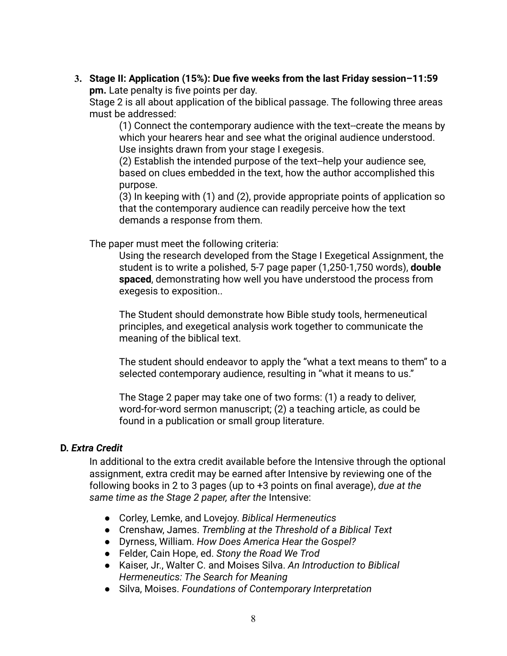**3. Stage II: Application (15%): Due five weeks from the last Friday session–11:59 pm.** Late penalty is five points per day.

Stage 2 is all about application of the biblical passage. The following three areas must be addressed:

(1) Connect the contemporary audience with the text--create the means by which your hearers hear and see what the original audience understood. Use insights drawn from your stage I exegesis.

(2) Establish the intended purpose of the text--help your audience see, based on clues embedded in the text, how the author accomplished this purpose.

(3) In keeping with (1) and (2), provide appropriate points of application so that the contemporary audience can readily perceive how the text demands a response from them.

The paper must meet the following criteria:

Using the research developed from the Stage I Exegetical Assignment, the student is to write a polished, 5-7 page paper (1,250-1,750 words), **double spaced**, demonstrating how well you have understood the process from exegesis to exposition..

The Student should demonstrate how Bible study tools, hermeneutical principles, and exegetical analysis work together to communicate the meaning of the biblical text.

The student should endeavor to apply the "what a text means to them" to a selected contemporary audience, resulting in "what it means to us."

The Stage 2 paper may take one of two forms: (1) a ready to deliver, word-for-word sermon manuscript; (2) a teaching article, as could be found in a publication or small group literature.

## **D.** *Extra Credit*

In additional to the extra credit available before the Intensive through the optional assignment, extra credit may be earned after Intensive by reviewing one of the following books in 2 to 3 pages (up to +3 points on final average), *due at the same time as the Stage 2 paper, after the* Intensive:

- Corley, Lemke, and Lovejoy. *Biblical Hermeneutics*
- Crenshaw, James. *Trembling at the Threshold of a Biblical Text*
- Dyrness, William. *How Does America Hear the Gospel?*
- Felder, Cain Hope, ed. *Stony the Road We Trod*
- Kaiser, Jr., Walter C. and Moises Silva. *An Introduction to Biblical Hermeneutics: The Search for Meaning*
- Silva, Moises. *Foundations of Contemporary Interpretation*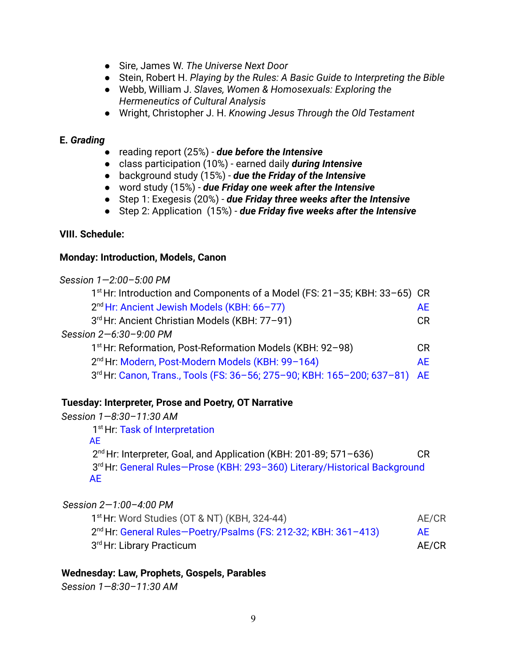- Sire, James W. *The Universe Next Door*
- Stein, Robert H. *Playing by the Rules: A Basic Guide to Interpreting the Bible*
- Webb, William J. *Slaves, Women & Homosexuals: Exploring the Hermeneutics of Cultural Analysis*
- Wright, Christopher J. H. *Knowing Jesus Through the Old Testament*

#### **E.** *Grading*

- reading report (25%) *due before the Intensive*
- class participation (10%) earned daily *during Intensive*
- background study (15%) *due the Friday of the Intensive*
- word study (15%) *due Friday one week after the Intensive*
- Step 1: Exegesis (20%) *due Friday three weeks after the Intensive*
- Step 2: Application (15%) *due Friday five weeks after the Intensive*

## **VIII. Schedule:**

#### **Monday: Introduction, Models, Canon**

| Session 1-2:00-5:00 PM                                                                |           |
|---------------------------------------------------------------------------------------|-----------|
| 1 <sup>st</sup> Hr: Introduction and Components of a Model (FS: 21-35; KBH: 33-65) CR |           |
| 2 <sup>nd</sup> Hr: Ancient Jewish Models (KBH: 66-77)                                | <b>AE</b> |
| 3rd Hr: Ancient Christian Models (KBH: 77-91)                                         | CR.       |
| Session 2-6:30-9:00 PM                                                                |           |
| 1 <sup>st</sup> Hr: Reformation, Post-Reformation Models (KBH: 92-98)                 | CR.       |
| 2 <sup>nd</sup> Hr: Modern, Post-Modern Models (KBH: 99-164)                          | <b>AE</b> |
| 3rd Hr: Canon, Trans., Tools (FS: 36-56; 275-90; KBH: 165-200; 637-81)                | <b>AE</b> |
|                                                                                       |           |

## **Tuesday: Interpreter, Prose and Poetry, OT Narrative**

| Session 1–8:30–11:30 AM<br>1 <sup>st</sup> Hr: Task of Interpretation                                                                                        |             |
|--------------------------------------------------------------------------------------------------------------------------------------------------------------|-------------|
| AE<br>$2nd$ Hr: Interpreter, Goal, and Application (KBH: 201-89; 571-636)<br>3rd Hr: General Rules-Prose (KBH: 293-360) Literary/Historical Background<br>AE | CR          |
| Session $2-1:00-4:00$ PM                                                                                                                                     |             |
| 1 <sup>st</sup> Hr: Word Studies (OT & NT) (KBH, 324-44)                                                                                                     | AE/CR       |
| $2nd$ Light Conoral Bulge-Bootsy/Boolma (EQ: 212.22: VBL: 261-412)                                                                                           | $\Lambda$ E |

# 2 nd Hr: General Rules—Poetry/Psalms (FS: 212-32; KBH: 361–413) AE 3 rd Hr: Library Practicum AE/CR

## **Wednesday: Law, Prophets, Gospels, Parables**

*Session 1—8:30–11:30 AM*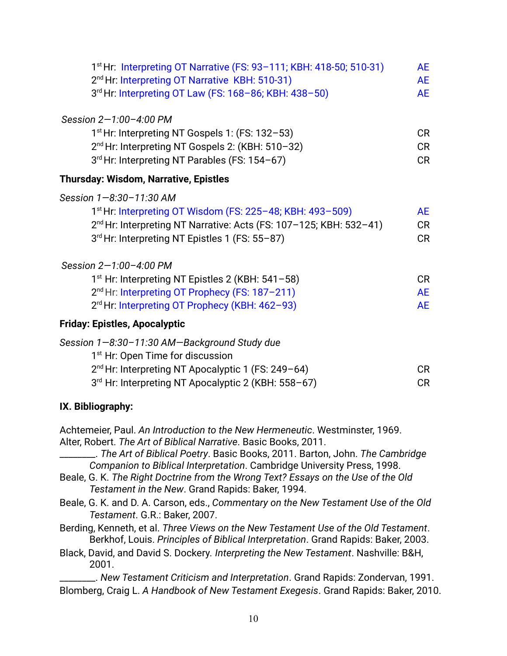| 1 <sup>st</sup> Hr: Interpreting OT Narrative (FS: 93-111; KBH: 418-50; 510-31)<br>2 <sup>nd</sup> Hr: Interpreting OT Narrative KBH: 510-31)<br>3rd Hr: Interpreting OT Law (FS: 168-86; KBH: 438-50)                               | <b>AE</b><br><b>AE</b><br><b>AE</b> |
|--------------------------------------------------------------------------------------------------------------------------------------------------------------------------------------------------------------------------------------|-------------------------------------|
| Session 2-1:00-4:00 PM                                                                                                                                                                                                               |                                     |
| 1 <sup>st</sup> Hr: Interpreting NT Gospels 1: (FS: 132-53)<br>2 <sup>nd</sup> Hr: Interpreting NT Gospels 2: (KBH: 510-32)<br>3rd Hr: Interpreting NT Parables (FS: 154-67)                                                         | <b>CR</b><br><b>CR</b><br><b>CR</b> |
| Thursday: Wisdom, Narrative, Epistles                                                                                                                                                                                                |                                     |
| Session 1-8:30-11:30 AM<br>1 <sup>st</sup> Hr: Interpreting OT Wisdom (FS: 225-48; KBH: 493-509)<br>2 <sup>nd</sup> Hr: Interpreting NT Narrative: Acts (FS: 107-125; KBH: 532-41)<br>3rd Hr: Interpreting NT Epistles 1 (FS: 55-87) | <b>AE</b><br><b>CR</b><br><b>CR</b> |
| Session 2-1:00-4:00 PM                                                                                                                                                                                                               |                                     |
| 1 <sup>st</sup> Hr: Interpreting NT Epistles 2 (KBH: 541-58)<br>2 <sup>nd</sup> Hr: Interpreting OT Prophecy (FS: 187-211)<br>2 <sup>rd</sup> Hr: Interpreting OT Prophecy (KBH: 462-93)                                             | CR<br><b>AE</b><br><b>AE</b>        |
| <b>Friday: Epistles, Apocalyptic</b>                                                                                                                                                                                                 |                                     |
| Session 1-8:30-11:30 AM-Background Study due<br>1 <sup>st</sup> Hr: Open Time for discussion<br>2 <sup>nd</sup> Hr: Interpreting NT Apocalyptic 1 (FS: 249-64)<br>3rd Hr: Interpreting NT Apocalyptic 2 (KBH: 558-67)                | <b>CR</b><br><b>CR</b>              |
| IX. Bibliography:                                                                                                                                                                                                                    |                                     |
| Achtemeier, Paul. An Introduction to the New Hermeneutic. Westminster, 1969.<br>Alter, Robert. The Art of Biblical Narrative. Basic Books, 2011.                                                                                     |                                     |

\_\_\_\_\_\_\_\_. *The Art of Biblical Poetry*. Basic Books, 2011. Barton, John. *The Cambridge Companion to Biblical Interpretation*. Cambridge University Press, 1998.

- Beale, G. K. *The Right Doctrine from the Wrong Text? Essays on the Use of the Old Testament in the New*. Grand Rapids: Baker, 1994.
- Beale, G. K. and D. A. Carson, eds., *Commentary on the New Testament Use of the Old Testament*. G.R.: Baker, 2007.

Berding, Kenneth, et al. *Three Views on the New Testament Use of the Old Testament*. Berkhof, Louis. *Principles of Biblical Interpretation*. Grand Rapids: Baker, 2003.

Black, David, and David S. Dockery*. Interpreting the New Testament*. Nashville: B&H, 2001.

\_\_\_\_\_\_\_\_. *New Testament Criticism and Interpretation*. Grand Rapids: Zondervan, 1991. Blomberg, Craig L. *A Handbook of New Testament Exegesis*. Grand Rapids: Baker, 2010.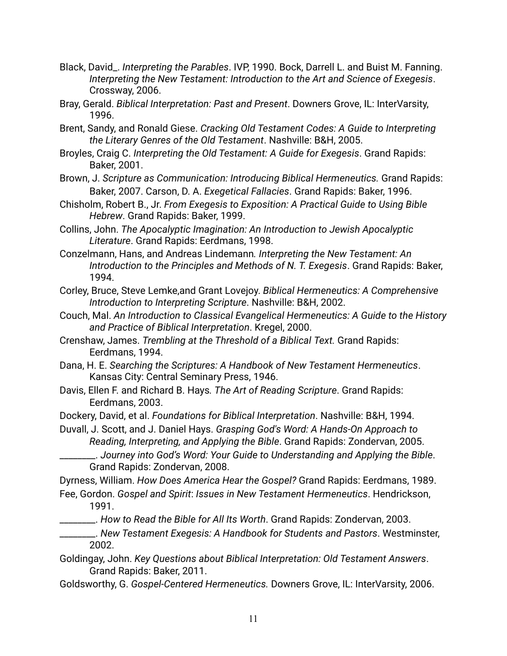- Black, David\_. *Interpreting the Parables*. IVP, 1990. Bock, Darrell L. and Buist M. Fanning. *Interpreting the New Testament: Introduction to the Art and Science of Exegesis*. Crossway, 2006.
- Bray, Gerald. *Biblical Interpretation: Past and Present*. Downers Grove, IL: InterVarsity, 1996.
- Brent, Sandy, and Ronald Giese. *Cracking Old Testament Codes: A Guide to Interpreting the Literary Genres of the Old Testament*. Nashville: B&H, 2005.
- Broyles, Craig C. *Interpreting the Old Testament: A Guide for Exegesis*. Grand Rapids: Baker, 2001.
- Brown, J. *Scripture as Communication: Introducing Biblical Hermeneutics.* Grand Rapids: Baker, 2007. Carson, D. A. *Exegetical Fallacies*. Grand Rapids: Baker, 1996.
- Chisholm, Robert B., Jr. *From Exegesis to Exposition: A Practical Guide to Using Bible Hebrew*. Grand Rapids: Baker, 1999.
- Collins, John. *The Apocalyptic Imagination: An Introduction to Jewish Apocalyptic Literature*. Grand Rapids: Eerdmans, 1998.
- Conzelmann, Hans, and Andreas Lindemann*. Interpreting the New Testament: An Introduction to the Principles and Methods of N. T. Exegesis*. Grand Rapids: Baker, 1994.
- Corley, Bruce, Steve Lemke,and Grant Lovejoy. *Biblical Hermeneutics: A Comprehensive Introduction to Interpreting Scripture*. Nashville: B&H, 2002.
- Couch, Mal. *An Introduction to Classical Evangelical Hermeneutics: A Guide to the History and Practice of Biblical Interpretation*. Kregel, 2000.
- Crenshaw, James. *Trembling at the Threshold of a Biblical Text.* Grand Rapids: Eerdmans, 1994.
- Dana, H. E. *Searching the Scriptures: A Handbook of New Testament Hermeneutics*. Kansas City: Central Seminary Press, 1946.
- Davis, Ellen F. and Richard B. Hays*. The Art of Reading Scripture*. Grand Rapids: Eerdmans, 2003.
- Dockery, David, et al. *Foundations for Biblical Interpretation*. Nashville: B&H, 1994.

Duvall, J. Scott, and J. Daniel Hays. *Grasping God's Word: A Hands-On Approach to Reading, Interpreting, and Applying the Bible*. Grand Rapids: Zondervan, 2005.

\_\_\_\_\_\_\_\_. *Journey into God's Word: Your Guide to Understanding and Applying the Bible*. Grand Rapids: Zondervan, 2008.

Dyrness, William. *How Does America Hear the Gospel?* Grand Rapids: Eerdmans, 1989.

- Fee, Gordon. *Gospel and Spirit*: *Issues in New Testament Hermeneutics*. Hendrickson, 1991.
- \_\_\_\_\_\_\_\_. *How to Read the Bible for All Its Worth*. Grand Rapids: Zondervan, 2003.
- \_\_\_\_\_\_\_\_. *New Testament Exegesis: A Handbook for Students and Pastors*. Westminster, 2002.
- Goldingay, John. *Key Questions about Biblical Interpretation: Old Testament Answers*. Grand Rapids: Baker, 2011.
- Goldsworthy, G. *Gospel-Centered Hermeneutics.* Downers Grove, IL: InterVarsity, 2006.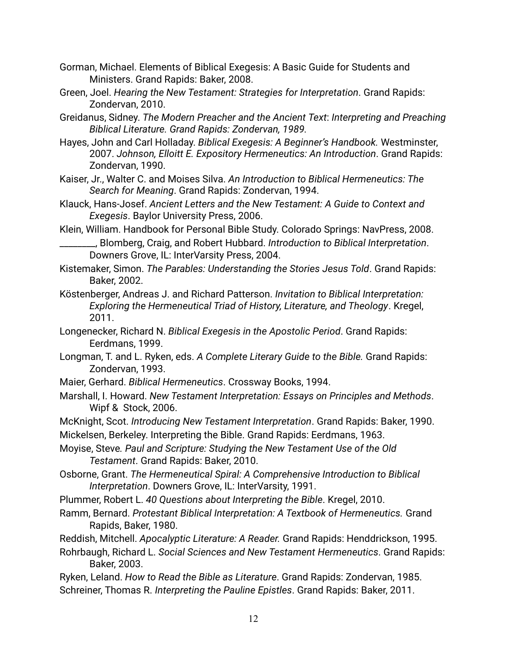- Gorman, Michael. Elements of Biblical Exegesis: A Basic Guide for Students and Ministers. Grand Rapids: Baker, 2008.
- Green, Joel. *Hearing the New Testament: Strategies for Interpretation*. Grand Rapids: Zondervan, 2010.
- Greidanus, Sidney. *The Modern Preacher and the Ancient Text*: *Interpreting and Preaching Biblical Literature. Grand Rapids: Zondervan, 1989.*
- Hayes, John and Carl Holladay. *Biblical Exegesis: A Beginner's Handbook.* Westminster, 2007. *Johnson, Elloitt E. Expository Hermeneutics: An Introduction*. Grand Rapids: Zondervan, 1990.
- Kaiser, Jr., Walter C. and Moises Silva. *An Introduction to Biblical Hermeneutics: The Search for Meaning*. Grand Rapids: Zondervan, 1994.
- Klauck, Hans-Josef. *Ancient Letters and the New Testament: A Guide to Context and Exegesis*. Baylor University Press, 2006.
- Klein, William. Handbook for Personal Bible Study. Colorado Springs: NavPress, 2008. \_\_\_\_\_\_\_\_, Blomberg, Craig, and Robert Hubbard. *Introduction to Biblical Interpretation*.
	- Downers Grove, IL: InterVarsity Press, 2004.
- Kistemaker, Simon. *The Parables: Understanding the Stories Jesus Told*. Grand Rapids: Baker, 2002.
- Köstenberger, Andreas J. and Richard Patterson. *Invitation to Biblical Interpretation: Exploring the Hermeneutical Triad of History, Literature, and Theology*. Kregel, 2011.
- Longenecker, Richard N. *Biblical Exegesis in the Apostolic Period*. Grand Rapids: Eerdmans, 1999.
- Longman, T. and L. Ryken, eds. *A Complete Literary Guide to the Bible.* Grand Rapids: Zondervan, 1993.
- Maier, Gerhard. *Biblical Hermeneutics*. Crossway Books, 1994.
- Marshall, I. Howard. *New Testament Interpretation: Essays on Principles and Methods*. Wipf & Stock, 2006.
- McKnight, Scot. *Introducing New Testament Interpretation*. Grand Rapids: Baker, 1990. Mickelsen, Berkeley. Interpreting the Bible. Grand Rapids: Eerdmans, 1963.
- Moyise, Steve*. Paul and Scripture: Studying the New Testament Use of the Old Testament*. Grand Rapids: Baker, 2010.
- Osborne, Grant. *The Hermeneutical Spiral: A Comprehensive Introduction to Biblical Interpretation*. Downers Grove, IL: InterVarsity, 1991.
- Plummer, Robert L. *40 Questions about Interpreting the Bible*. Kregel, 2010.
- Ramm, Bernard. *Protestant Biblical Interpretation: A Textbook of Hermeneutics.* Grand Rapids, Baker, 1980.
- Reddish, Mitchell. *Apocalyptic Literature: A Reader.* Grand Rapids: Henddrickson, 1995.
- Rohrbaugh, Richard L. *Social Sciences and New Testament Hermeneutics*. Grand Rapids: Baker, 2003.
- Ryken, Leland. *How to Read the Bible as Literature*. Grand Rapids: Zondervan, 1985. Schreiner, Thomas R. *Interpreting the Pauline Epistles*. Grand Rapids: Baker, 2011.